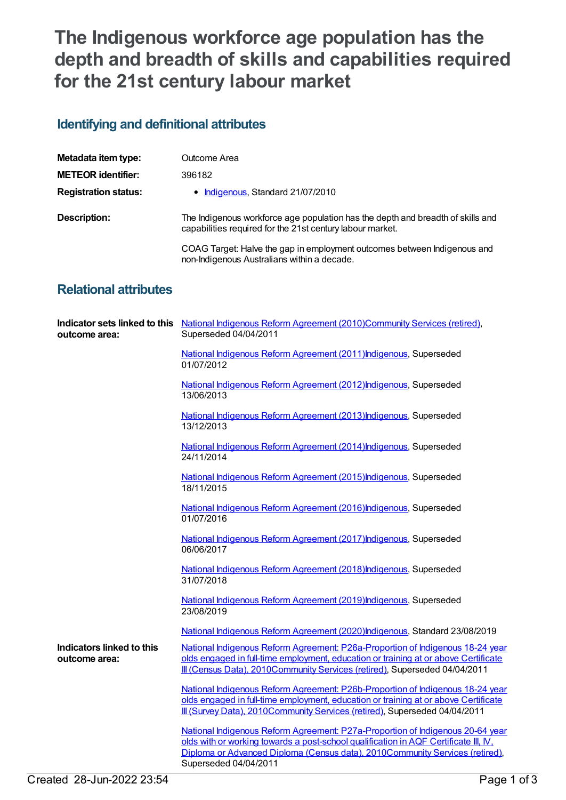## **The Indigenous workforce age population has the depth and breadth of skills and capabilities required for the 21st century labour market**

## **Identifying and definitional attributes**

| Metadata item type:         | Outcome Area                                                                                                                                 |
|-----------------------------|----------------------------------------------------------------------------------------------------------------------------------------------|
| <b>METEOR identifier:</b>   | 396182                                                                                                                                       |
| <b>Registration status:</b> | • Indigenous, Standard 21/07/2010                                                                                                            |
| Description:                | The Indigenous workforce age population has the depth and breadth of skills and<br>capabilities required for the 21st century labour market. |
|                             | COAG Target: Halve the gap in employment outcomes between Indigenous and<br>non-Indigenous Australians within a decade.                      |

## **Relational attributes**

| outcome area:                              | Indicator sets linked to this National Indigenous Reform Agreement (2010)Community Services (retired),<br>Superseded 04/04/2011                                                                                                                                                 |
|--------------------------------------------|---------------------------------------------------------------------------------------------------------------------------------------------------------------------------------------------------------------------------------------------------------------------------------|
|                                            | National Indigenous Reform Agreement (2011) Indigenous, Superseded<br>01/07/2012                                                                                                                                                                                                |
|                                            | National Indigenous Reform Agreement (2012) Indigenous, Superseded<br>13/06/2013                                                                                                                                                                                                |
|                                            | National Indigenous Reform Agreement (2013) Indigenous, Superseded<br>13/12/2013                                                                                                                                                                                                |
|                                            | National Indigenous Reform Agreement (2014) Indigenous, Superseded<br>24/11/2014                                                                                                                                                                                                |
|                                            | National Indigenous Reform Agreement (2015) Indigenous, Superseded<br>18/11/2015                                                                                                                                                                                                |
|                                            | National Indigenous Reform Agreement (2016) Indigenous, Superseded<br>01/07/2016                                                                                                                                                                                                |
|                                            | National Indigenous Reform Agreement (2017) Indigenous, Superseded<br>06/06/2017                                                                                                                                                                                                |
|                                            | National Indigenous Reform Agreement (2018) Indigenous, Superseded<br>31/07/2018                                                                                                                                                                                                |
|                                            | National Indigenous Reform Agreement (2019) Indigenous, Superseded<br>23/08/2019                                                                                                                                                                                                |
|                                            | National Indigenous Reform Agreement (2020)Indigenous, Standard 23/08/2019                                                                                                                                                                                                      |
| Indicators linked to this<br>outcome area: | National Indigenous Reform Agreement: P26a-Proportion of Indigenous 18-24 year<br>olds engaged in full-time employment, education or training at or above Certificate<br>Ill (Census Data), 2010Community Services (retired), Superseded 04/04/2011                             |
|                                            | National Indigenous Reform Agreement: P26b-Proportion of Indigenous 18-24 year<br>olds engaged in full-time employment, education or training at or above Certificate<br>Ill (Survey Data), 2010Community Services (retired), Superseded 04/04/2011                             |
|                                            | National Indigenous Reform Agreement: P27a-Proportion of Indigenous 20-64 year<br>olds with or working towards a post-school qualification in AQF Certificate III, IV,<br>Diploma or Advanced Diploma (Census data), 2010Community Services (retired),<br>Superseded 04/04/2011 |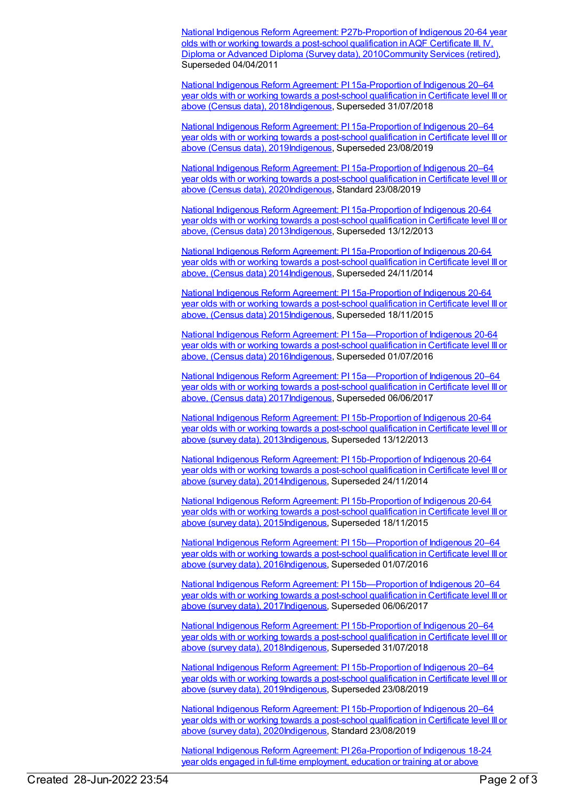National Indigenous Reform Agreement: [P27b-Proportion](https://meteor.aihw.gov.au/content/396918) of Indigenous 20-64 year olds with or working towards a post-school qualification in AQF Certificate III, IV, Diploma or Advanced Diploma (Survey data), 2010[Community](https://meteor.aihw.gov.au/RegistrationAuthority/1) Services (retired), Superseded 04/04/2011

National Indigenous Reform Agreement: PI [15a-Proportion](https://meteor.aihw.gov.au/content/668659) of Indigenous 20–64 year olds with or working towards a post-school qualification in Certificate level III or above (Census data), 201[8Indigenous,](https://meteor.aihw.gov.au/RegistrationAuthority/6) Superseded 31/07/2018

National Indigenous Reform Agreement: PI [15a-Proportion](https://meteor.aihw.gov.au/content/699476) of Indigenous 20–64 year olds with or working towards a post-school qualification in Certificate level III or above (Census data), 201[9Indigenous,](https://meteor.aihw.gov.au/RegistrationAuthority/6) Superseded 23/08/2019

National Indigenous Reform Agreement: PI [15a-Proportion](https://meteor.aihw.gov.au/content/718504) of Indigenous 20–64 year olds with or working towards a post-school qualification in Certificate level III or above (Census data), 202[0Indigenous,](https://meteor.aihw.gov.au/RegistrationAuthority/6) Standard 23/08/2019

National Indigenous Reform Agreement: PI [15a-Proportion](https://meteor.aihw.gov.au/content/484375) of Indigenous 20-64 year olds with or working towards a post-school qualification in Certificate level III or above, (Census data) 201[3Indigenous,](https://meteor.aihw.gov.au/RegistrationAuthority/6) Superseded 13/12/2013

National Indigenous Reform Agreement: PI [15a-Proportion](https://meteor.aihw.gov.au/content/525738) of Indigenous 20-64 year olds with or working towards a post-school qualification in Certificate level III or above, (Census data) 201[4Indigenous,](https://meteor.aihw.gov.au/RegistrationAuthority/6) Superseded 24/11/2014

National Indigenous Reform Agreement: PI [15a-Proportion](https://meteor.aihw.gov.au/content/579108) of Indigenous 20-64 year olds with or working towards a post-school qualification in Certificate level III or above, (Census data) 201[5Indigenous,](https://meteor.aihw.gov.au/RegistrationAuthority/6) Superseded 18/11/2015

National Indigenous Reform Agreement: PI [15a—Proportion](https://meteor.aihw.gov.au/content/611208) of Indigenous 20-64 year olds with or working towards a post-school qualification in Certificate level III or above, (Census data) 201[6Indigenous,](https://meteor.aihw.gov.au/RegistrationAuthority/6) Superseded 01/07/2016

National Indigenous Reform Agreement: PI [15a—Proportion](https://meteor.aihw.gov.au/content/645416) of Indigenous 20–64 year olds with or working towards a post-school qualification in Certificate level III or above, (Census data) 201[7Indigenous,](https://meteor.aihw.gov.au/RegistrationAuthority/6) Superseded 06/06/2017

National Indigenous Reform Agreement: PI [15b-Proportion](https://meteor.aihw.gov.au/content/484377) of Indigenous 20-64 year olds with or working towards a post-school qualification in Certificate level III or above (survey data), 201[3Indigenous](https://meteor.aihw.gov.au/RegistrationAuthority/6), Superseded 13/12/2013

National Indigenous Reform Agreement: PI [15b-Proportion](https://meteor.aihw.gov.au/content/525731) of Indigenous 20-64 year olds with or working towards a post-school qualification in Certificate level III or above (survey data), 201[4Indigenous](https://meteor.aihw.gov.au/RegistrationAuthority/6), Superseded 24/11/2014

National Indigenous Reform Agreement: PI [15b-Proportion](https://meteor.aihw.gov.au/content/579110) of Indigenous 20-64 year olds with or working towards a post-school qualification in Certificate level III or above (survey data), 201[5Indigenous](https://meteor.aihw.gov.au/RegistrationAuthority/6), Superseded 18/11/2015

National Indigenous Reform Agreement: PI [15b—Proportion](https://meteor.aihw.gov.au/content/611212) of Indigenous 20–64 year olds with or working towards a post-school qualification in Certificate level III or above (survey data), 201[6Indigenous](https://meteor.aihw.gov.au/RegistrationAuthority/6), Superseded 01/07/2016

National Indigenous Reform Agreement: PI [15b—Proportion](https://meteor.aihw.gov.au/content/645418) of Indigenous 20–64 year olds with or working towards a post-school qualification in Certificate level III or above (survey data), 201[7Indigenous](https://meteor.aihw.gov.au/RegistrationAuthority/6), Superseded 06/06/2017

National Indigenous Reform Agreement: PI [15b-Proportion](https://meteor.aihw.gov.au/content/668653) of Indigenous 20–64 year olds with or working towards a post-school qualification in Certificate level III or above (survey data), 201[8Indigenous](https://meteor.aihw.gov.au/RegistrationAuthority/6), Superseded 31/07/2018

National Indigenous Reform Agreement: PI [15b-Proportion](https://meteor.aihw.gov.au/content/699478) of Indigenous 20–64 year olds with or working towards a post-school qualification in Certificate level III or above (survey data), 201[9Indigenous](https://meteor.aihw.gov.au/RegistrationAuthority/6), Superseded 23/08/2019

National Indigenous Reform Agreement: PI [15b-Proportion](https://meteor.aihw.gov.au/content/718506) of Indigenous 20–64 year olds with or working towards a post-school qualification in Certificate level III or above (survey data), 2020 Indigenous, Standard 23/08/2019

National Indigenous Reform Agreement: PI [26a-Proportion](https://meteor.aihw.gov.au/content/425809) of Indigenous 18-24 year olds engaged in full-time employment, education or training at or above